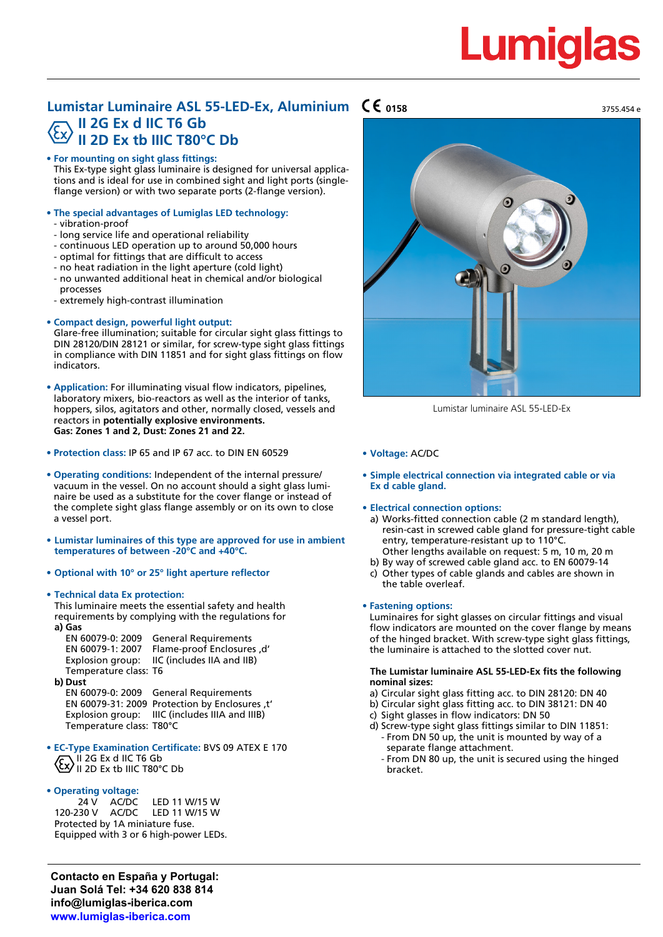# Lumid

3755.454 e

## **Lumistar Luminaire ASL 55-LED-Ex, Aluminium CC 0158 II 2G Ex d IIC T6 Gb II 2D Ex tb IIIC T80°C Db**

## **• For mounting on sight glass fittings:**

This Ex-type sight glass luminaire is designed for universal applications and is ideal for use in combined sight and light ports (singleflange version) or with two separate ports (2-flange version).

- **• The special advantages of Lumiglas LED technology:**
	- vibration-proof
	- long service life and operational reliability
	- continuous LED operation up to around 50,000 hours
	- optimal for fittings that are difficult to access
	- no heat radiation in the light aperture (cold light)
	- no unwanted additional heat in chemical and/or biological processes
	- extremely high-contrast illumination
- **• Compact design, powerful light output:**

Glare-free illumination; suitable for circular sight glass fittings to DIN 28120/DIN 28121 or similar, for screw-type sight glass fittings in compliance with DIN 11851 and for sight glass fittings on flow indicators.

- **• Application:** For illuminating visual flow indicators, pipelines, laboratory mixers, bio-reactors as well as the interior of tanks, hoppers, silos, agitators and other, normally closed, vessels and reactors in **potentially explosive environments. Gas: Zones 1 and 2, Dust: Zones 21 and 22.**
- **• Protection class:** IP 65 and IP 67 acc. to DIN EN 60529
- **• Operating conditions:** Independent of the internal pressure/ vacuum in the vessel. On no account should a sight glass luminaire be used as a substitute for the cover flange or instead of the complete sight glass flange assembly or on its own to close a vessel port.
- **• Lumistar luminaires of this type are approved for use in ambient temperatures of between -20°C and +40°C.**
- **• Optional with 10° or 25° light aperture reflector**
- **• Technical data Ex protection:**
	- This luminaire meets the essential safety and health requirements by complying with the regulations for **a) Gas**

EN 60079-0: 2009 General Requirements<br>EN 60079-1: 2007 Flame-proof Enclosures Flame-proof Enclosures ,d' Explosion group: IIC (includes IIA and IIB) Temperature class: T6

**b) Dust**

EN 60079-0: 2009 General Requirements EN 60079-31: 2009 Protection by Enclosures ,t' Explosion group: IIIC (includes IIIA and IIIB) Temperature class: T80°C

- **• EC-Type Examination Certificate:** BVS 09 ATEX E 170 II 2G Ex d IIC T6 Gb  $\langle \xi x \rangle$  II 2D Ex tb IIIC T80°C Db
- **• Operating voltage:**

24 V AC/DC LED 11 W/15 W<br>120-230 V AC/DC LED 11 W/15 W 1 FD 11 W/15 W Protected by 1A miniature fuse. Equipped with 3 or 6 high-power LEDs.

**Contacto en España y Portugal: Juan Solá Tel: +34 620 838 814 info@lumiglas-iberica.com www.lumiglas-iberica.com**



Lumistar luminaire ASL 55-LED-Ex

- **• Voltage:** AC/DC
- **• Simple electrical connection via integrated cable or via Ex d cable gland.**

### **• Electrical connection options:**

- a) Works-fitted connection cable (2 m standard length), resin-cast in screwed cable gland for pressure-tight cable entry, temperature-resistant up to 110°C. Other lengths available on request: 5 m, 10 m, 20 m
- b) By way of screwed cable gland acc. to EN 60079-14
- c) Other types of cable glands and cables are shown in the table overleaf.

## **• Fastening options:**

Luminaires for sight glasses on circular fittings and visual flow indicators are mounted on the cover flange by means of the hinged bracket. With screw-type sight glass fittings, the luminaire is attached to the slotted cover nut.

## **The Lumistar luminaire ASL 55-LED-Ex fits the following nominal sizes:**

- a) Circular sight glass fitting acc. to DIN 28120: DN 40
- b) Circular sight glass fitting acc. to DIN 38121: DN 40
- c) Sight glasses in flow indicators: DN 50
- d) Screw-type sight glass fittings similar to DIN 11851: From DN 50 up, the unit is mounted by way of a separate flange attachment.
	- From DN 80 up, the unit is secured using the hinged bracket.